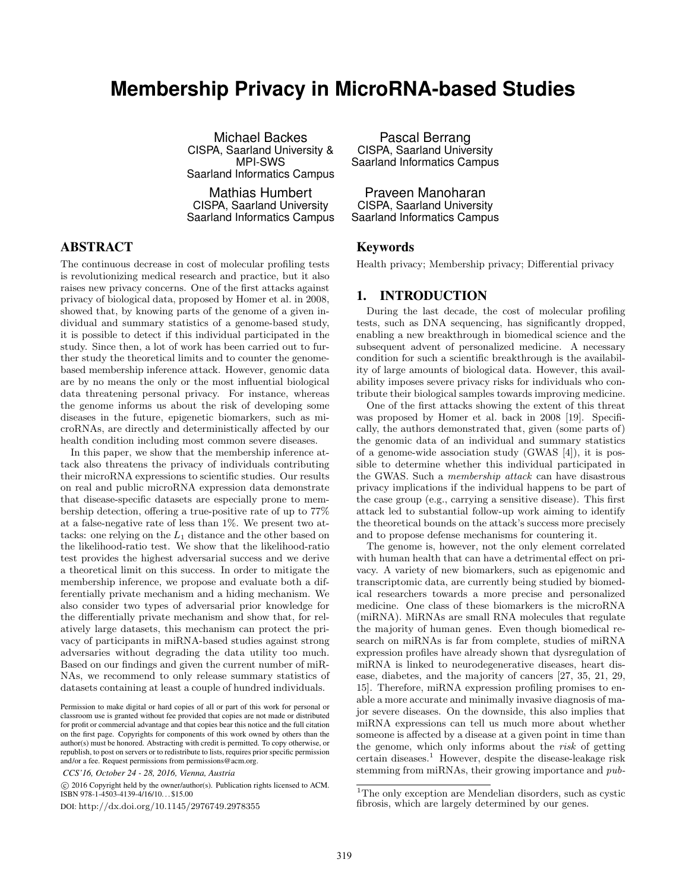# **Membership Privacy in MicroRNA-based Studies**

Michael Backes CISPA, Saarland University & MPI-SWS Saarland Informatics Campus

Mathias Humbert CISPA, Saarland University Saarland Informatics Campus

# ABSTRACT

The continuous decrease in cost of molecular profiling tests is revolutionizing medical research and practice, but it also raises new privacy concerns. One of the first attacks against privacy of biological data, proposed by Homer et al. in 2008, showed that, by knowing parts of the genome of a given individual and summary statistics of a genome-based study, it is possible to detect if this individual participated in the study. Since then, a lot of work has been carried out to further study the theoretical limits and to counter the genomebased membership inference attack. However, genomic data are by no means the only or the most influential biological data threatening personal privacy. For instance, whereas the genome informs us about the risk of developing some diseases in the future, epigenetic biomarkers, such as microRNAs, are directly and deterministically affected by our health condition including most common severe diseases.

In this paper, we show that the membership inference attack also threatens the privacy of individuals contributing their microRNA expressions to scientific studies. Our results on real and public microRNA expression data demonstrate that disease-specific datasets are especially prone to membership detection, offering a true-positive rate of up to 77% at a false-negative rate of less than 1%. We present two attacks: one relying on the  $L_1$  distance and the other based on the likelihood-ratio test. We show that the likelihood-ratio test provides the highest adversarial success and we derive a theoretical limit on this success. In order to mitigate the membership inference, we propose and evaluate both a differentially private mechanism and a hiding mechanism. We also consider two types of adversarial prior knowledge for the differentially private mechanism and show that, for relatively large datasets, this mechanism can protect the privacy of participants in miRNA-based studies against strong adversaries without degrading the data utility too much. Based on our findings and given the current number of miR-NAs, we recommend to only release summary statistics of datasets containing at least a couple of hundred individuals.

 c 2016 Copyright held by the owner/author(s). Publication rights licensed to ACM. ISBN 978-1-4503-4139-4/16/10. . . \$15.00

DOI: http://dx.doi.org/10.1145/2976749.2978355

Pascal Berrang CISPA, Saarland University Saarland Informatics Campus

Praveen Manoharan CISPA, Saarland University Saarland Informatics Campus

# Keywords

Health privacy; Membership privacy; Differential privacy

# 1. INTRODUCTION

During the last decade, the cost of molecular profiling tests, such as DNA sequencing, has significantly dropped, enabling a new breakthrough in biomedical science and the subsequent advent of personalized medicine. A necessary condition for such a scientific breakthrough is the availability of large amounts of biological data. However, this availability imposes severe privacy risks for individuals who contribute their biological samples towards improving medicine.

One of the first attacks showing the extent of this threat was proposed by Homer et al. back in 2008 [19]. Specifically, the authors demonstrated that, given (some parts of) the genomic data of an individual and summary statistics of a genome-wide association study (GWAS [4]), it is possible to determine whether this individual participated in the GWAS. Such a membership attack can have disastrous privacy implications if the individual happens to be part of the case group (e.g., carrying a sensitive disease). This first attack led to substantial follow-up work aiming to identify the theoretical bounds on the attack's success more precisely and to propose defense mechanisms for countering it.

The genome is, however, not the only element correlated with human health that can have a detrimental effect on privacy. A variety of new biomarkers, such as epigenomic and transcriptomic data, are currently being studied by biomedical researchers towards a more precise and personalized medicine. One class of these biomarkers is the microRNA (miRNA). MiRNAs are small RNA molecules that regulate the majority of human genes. Even though biomedical research on miRNAs is far from complete, studies of miRNA expression profiles have already shown that dysregulation of miRNA is linked to neurodegenerative diseases, heart disease, diabetes, and the majority of cancers [27, 35, 21, 29, 15]. Therefore, miRNA expression profiling promises to enable a more accurate and minimally invasive diagnosis of major severe diseases. On the downside, this also implies that miRNA expressions can tell us much more about whether someone is affected by a disease at a given point in time than the genome, which only informs about the risk of getting certain diseases.<sup>1</sup> However, despite the disease-leakage risk stemming from miRNAs, their growing importance and pub-

Permission to make digital or hard copies of all or part of this work for personal or classroom use is granted without fee provided that copies are not made or distributed for profit or commercial advantage and that copies bear this notice and the full citation on the first page. Copyrights for components of this work owned by others than the author(s) must be honored. Abstracting with credit is permitted. To copy otherwise, or republish, to post on servers or to redistribute to lists, requires prior specific permission and/or a fee. Request permissions from permissions@acm.org.

*CCS'16, October 24 - 28, 2016, Vienna, Austria*

<sup>&</sup>lt;sup>1</sup>The only exception are Mendelian disorders, such as cystic fibrosis, which are largely determined by our genes.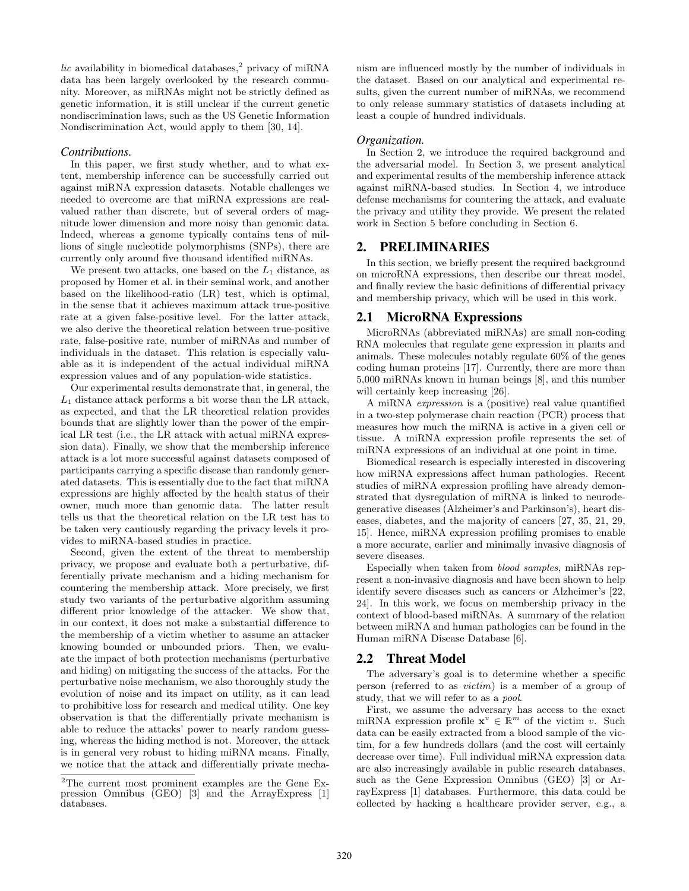lic availability in biomedical databases,<sup>2</sup> privacy of miRNA data has been largely overlooked by the research community. Moreover, as miRNAs might not be strictly defined as genetic information, it is still unclear if the current genetic nondiscrimination laws, such as the US Genetic Information Nondiscrimination Act, would apply to them [30, 14].

#### *Contributions.*

In this paper, we first study whether, and to what extent, membership inference can be successfully carried out against miRNA expression datasets. Notable challenges we needed to overcome are that miRNA expressions are realvalued rather than discrete, but of several orders of magnitude lower dimension and more noisy than genomic data. Indeed, whereas a genome typically contains tens of millions of single nucleotide polymorphisms (SNPs), there are currently only around five thousand identified miRNAs.

We present two attacks, one based on the  $L_1$  distance, as proposed by Homer et al. in their seminal work, and another based on the likelihood-ratio (LR) test, which is optimal, in the sense that it achieves maximum attack true-positive rate at a given false-positive level. For the latter attack, we also derive the theoretical relation between true-positive rate, false-positive rate, number of miRNAs and number of individuals in the dataset. This relation is especially valuable as it is independent of the actual individual miRNA expression values and of any population-wide statistics.

Our experimental results demonstrate that, in general, the  $L_1$  distance attack performs a bit worse than the LR attack, as expected, and that the LR theoretical relation provides bounds that are slightly lower than the power of the empirical LR test (i.e., the LR attack with actual miRNA expression data). Finally, we show that the membership inference attack is a lot more successful against datasets composed of participants carrying a specific disease than randomly generated datasets. This is essentially due to the fact that miRNA expressions are highly affected by the health status of their owner, much more than genomic data. The latter result tells us that the theoretical relation on the LR test has to be taken very cautiously regarding the privacy levels it provides to miRNA-based studies in practice.

Second, given the extent of the threat to membership privacy, we propose and evaluate both a perturbative, differentially private mechanism and a hiding mechanism for countering the membership attack. More precisely, we first study two variants of the perturbative algorithm assuming different prior knowledge of the attacker. We show that, in our context, it does not make a substantial difference to the membership of a victim whether to assume an attacker knowing bounded or unbounded priors. Then, we evaluate the impact of both protection mechanisms (perturbative and hiding) on mitigating the success of the attacks. For the perturbative noise mechanism, we also thoroughly study the evolution of noise and its impact on utility, as it can lead to prohibitive loss for research and medical utility. One key observation is that the differentially private mechanism is able to reduce the attacks' power to nearly random guessing, whereas the hiding method is not. Moreover, the attack is in general very robust to hiding miRNA means. Finally, we notice that the attack and differentially private mechanism are influenced mostly by the number of individuals in the dataset. Based on our analytical and experimental results, given the current number of miRNAs, we recommend to only release summary statistics of datasets including at least a couple of hundred individuals.

#### *Organization.*

In Section 2, we introduce the required background and the adversarial model. In Section 3, we present analytical and experimental results of the membership inference attack against miRNA-based studies. In Section 4, we introduce defense mechanisms for countering the attack, and evaluate the privacy and utility they provide. We present the related work in Section 5 before concluding in Section 6.

# 2. PRELIMINARIES

In this section, we briefly present the required background on microRNA expressions, then describe our threat model, and finally review the basic definitions of differential privacy and membership privacy, which will be used in this work.

#### 2.1 MicroRNA Expressions

MicroRNAs (abbreviated miRNAs) are small non-coding RNA molecules that regulate gene expression in plants and animals. These molecules notably regulate 60% of the genes coding human proteins [17]. Currently, there are more than 5,000 miRNAs known in human beings [8], and this number will certainly keep increasing [26].

A miRNA expression is a (positive) real value quantified in a two-step polymerase chain reaction (PCR) process that measures how much the miRNA is active in a given cell or tissue. A miRNA expression profile represents the set of miRNA expressions of an individual at one point in time.

Biomedical research is especially interested in discovering how miRNA expressions affect human pathologies. Recent studies of miRNA expression profiling have already demonstrated that dysregulation of miRNA is linked to neurodegenerative diseases (Alzheimer's and Parkinson's), heart diseases, diabetes, and the majority of cancers [27, 35, 21, 29, 15]. Hence, miRNA expression profiling promises to enable a more accurate, earlier and minimally invasive diagnosis of severe diseases.

Especially when taken from blood samples, miRNAs represent a non-invasive diagnosis and have been shown to help identify severe diseases such as cancers or Alzheimer's [22, 24]. In this work, we focus on membership privacy in the context of blood-based miRNAs. A summary of the relation between miRNA and human pathologies can be found in the Human miRNA Disease Database [6].

#### 2.2 Threat Model

The adversary's goal is to determine whether a specific person (referred to as victim) is a member of a group of study, that we will refer to as a pool.

First, we assume the adversary has access to the exact miRNA expression profile  $\mathbf{x}^v \in \mathbb{R}^m$  of the victim v. Such data can be easily extracted from a blood sample of the victim, for a few hundreds dollars (and the cost will certainly decrease over time). Full individual miRNA expression data are also increasingly available in public research databases, such as the Gene Expression Omnibus (GEO) [3] or ArrayExpress [1] databases. Furthermore, this data could be collected by hacking a healthcare provider server, e.g., a

 $2$ The current most prominent examples are the Gene Expression Omnibus (GEO) [3] and the ArrayExpress [1] databases.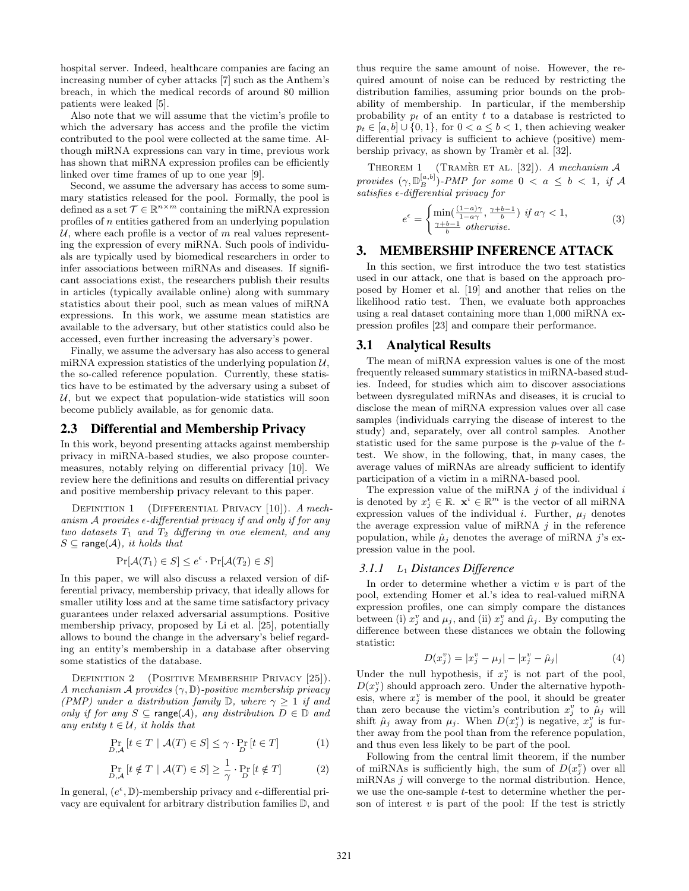hospital server. Indeed, healthcare companies are facing an increasing number of cyber attacks [7] such as the Anthem's breach, in which the medical records of around 80 million patients were leaked [5].

Also note that we will assume that the victim's profile to which the adversary has access and the profile the victim contributed to the pool were collected at the same time. Although miRNA expressions can vary in time, previous work has shown that miRNA expression profiles can be efficiently linked over time frames of up to one year [9].

Second, we assume the adversary has access to some summary statistics released for the pool. Formally, the pool is defined as a set  $\mathcal{T} \in \mathbb{R}^{n \times m}$  containing the miRNA expression profiles of n entities gathered from an underlying population  $U$ , where each profile is a vector of m real values representing the expression of every miRNA. Such pools of individuals are typically used by biomedical researchers in order to infer associations between miRNAs and diseases. If significant associations exist, the researchers publish their results in articles (typically available online) along with summary statistics about their pool, such as mean values of miRNA expressions. In this work, we assume mean statistics are available to the adversary, but other statistics could also be accessed, even further increasing the adversary's power.

Finally, we assume the adversary has also access to general miRNA expression statistics of the underlying population  $\mathcal{U}$ , the so-called reference population. Currently, these statistics have to be estimated by the adversary using a subset of  $U$ , but we expect that population-wide statistics will soon become publicly available, as for genomic data.

### 2.3 Differential and Membership Privacy

In this work, beyond presenting attacks against membership privacy in miRNA-based studies, we also propose countermeasures, notably relying on differential privacy [10]. We review here the definitions and results on differential privacy and positive membership privacy relevant to this paper.

DEFINITION 1 (DIFFERENTIAL PRIVACY [10]). A mechanism  $A$  provides  $\epsilon$ -differential privacy if and only if for any two datasets  $T_1$  and  $T_2$  differing in one element, and any  $S \subseteq \text{range}(\mathcal{A})$ , it holds that

$$
\Pr[\mathcal{A}(T_1) \in S] \le e^{\epsilon} \cdot \Pr[\mathcal{A}(T_2) \in S]
$$

In this paper, we will also discuss a relaxed version of differential privacy, membership privacy, that ideally allows for smaller utility loss and at the same time satisfactory privacy guarantees under relaxed adversarial assumptions. Positive membership privacy, proposed by Li et al. [25], potentially allows to bound the change in the adversary's belief regarding an entity's membership in a database after observing some statistics of the database.

DEFINITION 2 (POSITIVE MEMBERSHIP PRIVACY [25]). A mechanism A provides  $(\gamma, \mathbb{D})$ -positive membership privacy (PMP) under a distribution family  $\mathbb{D}$ , where  $\gamma > 1$  if and only if for any  $S \subseteq \text{range}(\mathcal{A})$ , any distribution  $D \in \mathbb{D}$  and any entity  $t \in \mathcal{U}$ , it holds that

$$
\Pr_{D,A}\left[t \in T \mid \mathcal{A}(T) \in S\right] \leq \gamma \cdot \Pr_{D}\left[t \in T\right]
$$
\n(1)

$$
\Pr_{D,\mathcal{A}}\left[t \notin T \mid \mathcal{A}(T) \in S\right] \ge \frac{1}{\gamma} \cdot \Pr_{D}\left[t \notin T\right] \tag{2}
$$

In general,  $(e^{\epsilon}, \mathbb{D})$ -membership privacy and  $\epsilon$ -differential privacy are equivalent for arbitrary distribution families D, and thus require the same amount of noise. However, the required amount of noise can be reduced by restricting the distribution families, assuming prior bounds on the probability of membership. In particular, if the membership probability  $p_t$  of an entity t to a database is restricted to  $p_t \in [a, b] \cup \{0, 1\}$ , for  $0 < a \leq b \leq 1$ , then achieving weaker differential privacy is sufficient to achieve (positive) membership privacy, as shown by Tramèr et al. [32].

THEOREM 1 (TRAMER ET AL. [32]). A mechanism  $A$ provides  $(\gamma, \mathbb{D}_B^{[a,b]})$ -PMP for some  $0 < a \leq b < 1$ , if A  $satisfies$   $\epsilon$ -differential privacy for

$$
e^{\epsilon} = \begin{cases} \min(\frac{(1-a)\gamma}{1-a\gamma}, \frac{\gamma+b-1}{b}) & \text{if } a\gamma < 1, \\ \frac{\gamma+b-1}{b} & \text{otherwise.} \end{cases} \tag{3}
$$

# 3. MEMBERSHIP INFERENCE ATTACK

In this section, we first introduce the two test statistics used in our attack, one that is based on the approach proposed by Homer et al. [19] and another that relies on the likelihood ratio test. Then, we evaluate both approaches using a real dataset containing more than 1,000 miRNA expression profiles [23] and compare their performance.

### 3.1 Analytical Results

The mean of miRNA expression values is one of the most frequently released summary statistics in miRNA-based studies. Indeed, for studies which aim to discover associations between dysregulated miRNAs and diseases, it is crucial to disclose the mean of miRNA expression values over all case samples (individuals carrying the disease of interest to the study) and, separately, over all control samples. Another statistic used for the same purpose is the  $p$ -value of the  $t$ test. We show, in the following, that, in many cases, the average values of miRNAs are already sufficient to identify participation of a victim in a miRNA-based pool.

The expression value of the miRNA  $j$  of the individual  $i$ is denoted by  $x_j^i \in \mathbb{R}$ .  $\mathbf{x}^i \in \mathbb{R}^m$  is the vector of all miRNA expression values of the individual i. Further,  $\mu_i$  denotes the average expression value of miRNA  $j$  in the reference population, while  $\hat{\mu}_i$  denotes the average of miRNA j's expression value in the pool.

# *3.1.1* L<sup>1</sup> *Distances Difference*

In order to determine whether a victim  $v$  is part of the pool, extending Homer et al.'s idea to real-valued miRNA expression profiles, one can simply compare the distances between (i)  $x_j^v$  and  $\mu_j$ , and (ii)  $x_j^v$  and  $\hat{\mu}_j$ . By computing the difference between these distances we obtain the following statistic:

$$
D(x_j^v) = |x_j^v - \mu_j| - |x_j^v - \hat{\mu}_j| \tag{4}
$$

Under the null hypothesis, if  $x_j^v$  is not part of the pool,  $D(x_j^v)$  should approach zero. Under the alternative hypothesis, where  $x_j^v$  is member of the pool, it should be greater than zero because the victim's contribution  $x_j^v$  to  $\hat{\mu}_j$  will shift  $\hat{\mu}_j$  away from  $\mu_j$ . When  $D(x_j^v)$  is negative,  $x_j^v$  is further away from the pool than from the reference population, and thus even less likely to be part of the pool.

Following from the central limit theorem, if the number of miRNAs is sufficiently high, the sum of  $D(x_j^v)$  over all miRNAs  $j$  will converge to the normal distribution. Hence, we use the one-sample *t*-test to determine whether the person of interest  $v$  is part of the pool: If the test is strictly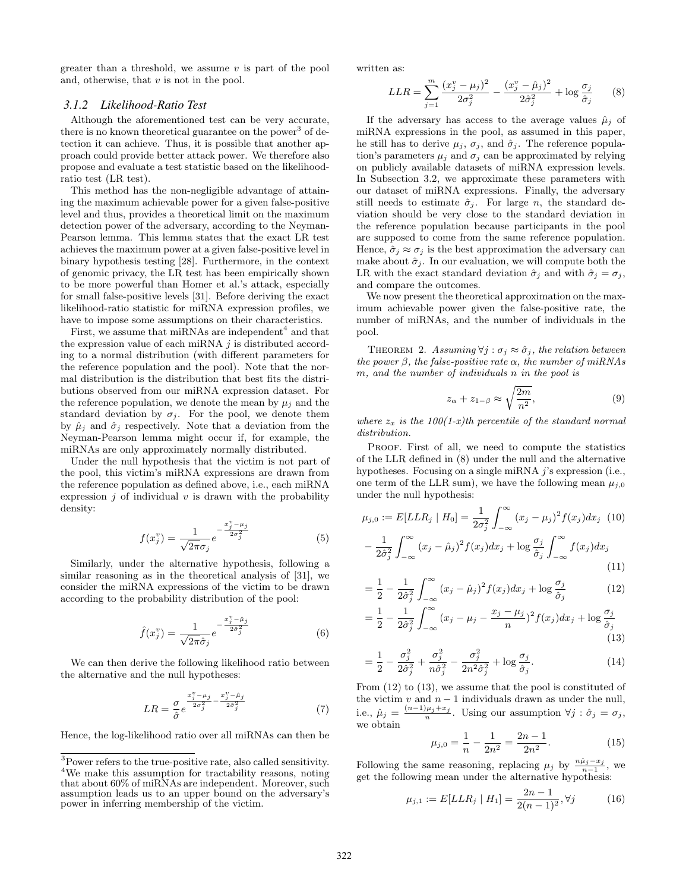greater than a threshold, we assume  $v$  is part of the pool and, otherwise, that  $v$  is not in the pool.

# *3.1.2 Likelihood-Ratio Test*

Although the aforementioned test can be very accurate, there is no known theoretical guarantee on the power<sup>3</sup> of detection it can achieve. Thus, it is possible that another approach could provide better attack power. We therefore also propose and evaluate a test statistic based on the likelihoodratio test (LR test).

This method has the non-negligible advantage of attaining the maximum achievable power for a given false-positive level and thus, provides a theoretical limit on the maximum detection power of the adversary, according to the Neyman-Pearson lemma. This lemma states that the exact LR test achieves the maximum power at a given false-positive level in binary hypothesis testing [28]. Furthermore, in the context of genomic privacy, the LR test has been empirically shown to be more powerful than Homer et al.'s attack, especially for small false-positive levels [31]. Before deriving the exact likelihood-ratio statistic for miRNA expression profiles, we have to impose some assumptions on their characteristics.

First, we assume that  $m$  iRNAs are independent<sup>4</sup> and that the expression value of each miRNA  $j$  is distributed according to a normal distribution (with different parameters for the reference population and the pool). Note that the normal distribution is the distribution that best fits the distributions observed from our miRNA expression dataset. For the reference population, we denote the mean by  $\mu_j$  and the standard deviation by  $\sigma_j$ . For the pool, we denote them by  $\hat{\mu}_j$  and  $\hat{\sigma}_j$  respectively. Note that a deviation from the Neyman-Pearson lemma might occur if, for example, the miRNAs are only approximately normally distributed.

Under the null hypothesis that the victim is not part of the pool, this victim's miRNA expressions are drawn from the reference population as defined above, i.e., each miRNA expression  $j$  of individual  $v$  is drawn with the probability density:

$$
f(x_j^v) = \frac{1}{\sqrt{2\pi}\sigma_j} e^{-\frac{x_j^v - \mu_j}{2\sigma_j^2}}
$$
(5)

Similarly, under the alternative hypothesis, following a similar reasoning as in the theoretical analysis of [31], we consider the miRNA expressions of the victim to be drawn according to the probability distribution of the pool:

$$
\hat{f}(x_j^v) = \frac{1}{\sqrt{2\pi}\hat{\sigma}_j} e^{-\frac{x_j^v - \hat{\mu}_j}{2\hat{\sigma}_j^2}}
$$
(6)

We can then derive the following likelihood ratio between the alternative and the null hypotheses:

$$
LR = \frac{\sigma}{\hat{\sigma}} e^{\frac{x_j^v - \mu_j}{2\sigma_j^2} - \frac{x_j^v - \hat{\mu}_j}{2\hat{\sigma}_j^2}}
$$
(7)

Hence, the log-likelihood ratio over all miRNAs can then be

written as:

$$
LLR = \sum_{j=1}^{m} \frac{(x_j^v - \mu_j)^2}{2\sigma_j^2} - \frac{(x_j^v - \hat{\mu}_j)^2}{2\hat{\sigma}_j^2} + \log \frac{\sigma_j}{\hat{\sigma}_j} \tag{8}
$$

If the adversary has access to the average values  $\hat{\mu}_i$  of miRNA expressions in the pool, as assumed in this paper, he still has to derive  $\mu_i$ ,  $\sigma_j$ , and  $\hat{\sigma}_j$ . The reference population's parameters  $\mu_i$  and  $\sigma_j$  can be approximated by relying on publicly available datasets of miRNA expression levels. In Subsection 3.2, we approximate these parameters with our dataset of miRNA expressions. Finally, the adversary still needs to estimate  $\hat{\sigma}_j$ . For large n, the standard deviation should be very close to the standard deviation in the reference population because participants in the pool are supposed to come from the same reference population. Hence,  $\hat{\sigma}_i \approx \sigma_i$  is the best approximation the adversary can make about  $\hat{\sigma}_j$ . In our evaluation, we will compute both the LR with the exact standard deviation  $\hat{\sigma}_i$  and with  $\hat{\sigma}_i = \sigma_i$ , and compare the outcomes.

We now present the theoretical approximation on the maximum achievable power given the false-positive rate, the number of miRNAs, and the number of individuals in the pool.

THEOREM 2. Assuming  $\forall j : \sigma_j \approx \hat{\sigma}_j$ , the relation between the power  $\beta$ , the false-positive rate  $\alpha$ , the number of miRNAs m, and the number of individuals n in the pool is

$$
z_{\alpha} + z_{1-\beta} \approx \sqrt{\frac{2m}{n^2}},\tag{9}
$$

where  $z_x$  is the 100(1-x)th percentile of the standard normal distribution.

PROOF. First of all, we need to compute the statistics of the LLR defined in (8) under the null and the alternative hypotheses. Focusing on a single miRNA j's expression (i.e., one term of the LLR sum), we have the following mean  $\mu_{i,0}$ under the null hypothesis:

$$
\mu_{j,0} := E[LLR_j | H_0] = \frac{1}{2\sigma_j^2} \int_{-\infty}^{\infty} (x_j - \mu_j)^2 f(x_j) dx_j \quad (10)
$$

$$
- \frac{1}{2\hat{\sigma}_j^2} \int_{-\infty}^{\infty} (x_j - \hat{\mu}_j)^2 f(x_j) dx_j + \log \frac{\sigma_j}{\hat{\sigma}_j} \int_{-\infty}^{\infty} f(x_j) dx_j \quad (11)
$$

$$
= \frac{1}{2} - \frac{1}{2\hat{\sigma}_j^2} \int_{-\infty}^{\infty} (x_j - \hat{\mu}_j)^2 f(x_j) dx_j + \log \frac{\sigma_j}{\hat{\sigma}_j}
$$
(12)

$$
= \frac{1}{2} - \frac{1}{2\hat{\sigma}_j^2} \int_{-\infty}^{\infty} (x_j - \mu_j - \frac{x_j - \mu_j}{n})^2 f(x_j) dx_j + \log \frac{\sigma_j}{\hat{\sigma}_j}
$$
\n(13)

$$
=\frac{1}{2}-\frac{\sigma_j^2}{2\hat{\sigma}_j^2}+\frac{\sigma_j^2}{n\hat{\sigma}_j^2}-\frac{\sigma_j^2}{2n^2\hat{\sigma}_j^2}+\log\frac{\sigma_j}{\hat{\sigma}_j}.
$$
\n(14)

From (12) to (13), we assume that the pool is constituted of the victim  $v$  and  $n-1$  individuals drawn as under the null, i.e.,  $\hat{\mu}_j = \frac{(n-1)\mu_j + x_j}{n}$ . Using our assumption  $\forall j : \hat{\sigma}_j = \sigma_j$ , we obtain

$$
\mu_{j,0} = \frac{1}{n} - \frac{1}{2n^2} = \frac{2n-1}{2n^2}.
$$
\n(15)

Following the same reasoning, replacing  $\mu_j$  by  $\frac{n\hat{\mu}_j - x_j}{n-1}$ , we get the following mean under the alternative hypothesis:

$$
\mu_{j,1} := E[LLR_j \mid H_1] = \frac{2n-1}{2(n-1)^2}, \forall j \tag{16}
$$

<sup>3</sup>Power refers to the true-positive rate, also called sensitivity. <sup>4</sup>We make this assumption for tractability reasons, noting that about 60% of miRNAs are independent. Moreover, such assumption leads us to an upper bound on the adversary's power in inferring membership of the victim.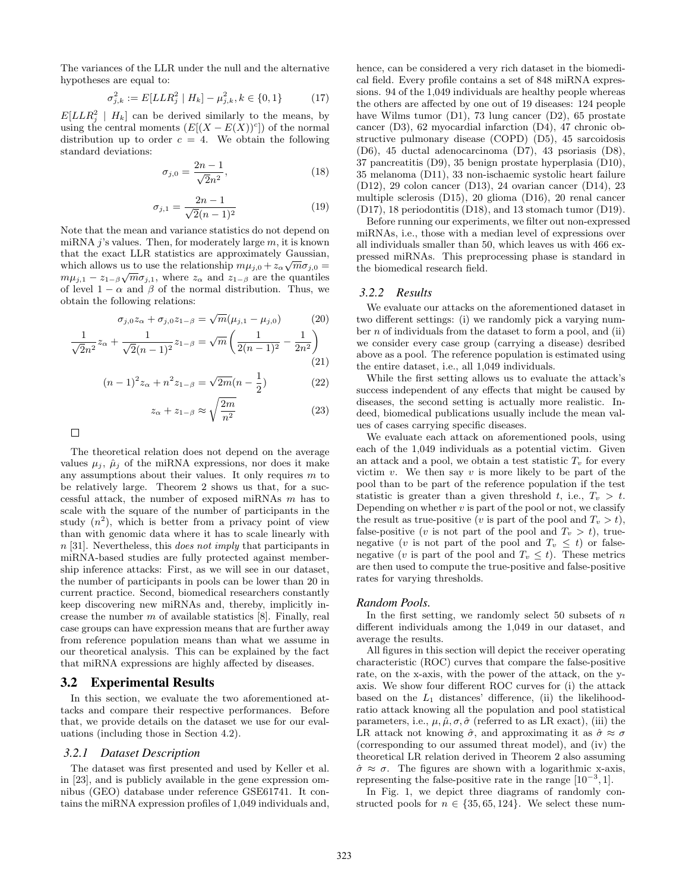The variances of the LLR under the null and the alternative hypotheses are equal to:

$$
\sigma_{j,k}^2 := E[LLR_j^2 \mid H_k] - \mu_{j,k}^2, k \in \{0, 1\} \tag{17}
$$

 $E[LLR_j^2 | H_k]$  can be derived similarly to the means, by using the central moments  $(E[(X - E(X))^c])$  of the normal distribution up to order  $c = 4$ . We obtain the following standard deviations:

$$
\sigma_{j,0} = \frac{2n-1}{\sqrt{2}n^2},\tag{18}
$$

$$
\sigma_{j,1} = \frac{2n-1}{\sqrt{2}(n-1)^2} \tag{19}
$$

Note that the mean and variance statistics do not depend on miRNA  $j$ 's values. Then, for moderately large  $m$ , it is known that the exact LLR statistics are approximately Gaussian, √ which allows us to use the relationship  $m\mu_{j,0} + z_\alpha \sqrt{m} \sigma_{j,0} =$  $m\mu_{j,1} - z_{1-\beta}\sqrt{m}\sigma_{j,1}$ , where  $z_{\alpha}$  and  $z_{1-\beta}$  are the quantiles of level  $1 - \alpha$  and  $\beta$  of the normal distribution. Thus, we obtain the following relations:

$$
\sigma_{j,0} z_{\alpha} + \sigma_{j,0} z_{1-\beta} = \sqrt{m} (\mu_{j,1} - \mu_{j,0})
$$
 (20)

$$
\frac{1}{\sqrt{2}n^2}z_{\alpha} + \frac{1}{\sqrt{2}(n-1)^2}z_{1-\beta} = \sqrt{m}\left(\frac{1}{2(n-1)^2} - \frac{1}{2n^2}\right)
$$
\n(21)

$$
(n-1)^2 z_\alpha + n^2 z_{1-\beta} = \sqrt{2m}(n-\frac{1}{2})
$$
 (22)

$$
z_{\alpha} + z_{1-\beta} \approx \sqrt{\frac{2m}{n^2}} \tag{23}
$$

The theoretical relation does not depend on the average values  $\mu_i$ ,  $\hat{\mu}_i$  of the miRNA expressions, nor does it make any assumptions about their values. It only requires  $m$  to be relatively large. Theorem 2 shows us that, for a successful attack, the number of exposed miRNAs m has to scale with the square of the number of participants in the study  $(n^2)$ , which is better from a privacy point of view than with genomic data where it has to scale linearly with  $n$  [31]. Nevertheless, this *does not imply* that participants in miRNA-based studies are fully protected against membership inference attacks: First, as we will see in our dataset, the number of participants in pools can be lower than 20 in current practice. Second, biomedical researchers constantly keep discovering new miRNAs and, thereby, implicitly increase the number  $m$  of available statistics  $[8]$ . Finally, real case groups can have expression means that are further away from reference population means than what we assume in our theoretical analysis. This can be explained by the fact that miRNA expressions are highly affected by diseases.

#### 3.2 Experimental Results

In this section, we evaluate the two aforementioned attacks and compare their respective performances. Before that, we provide details on the dataset we use for our evaluations (including those in Section 4.2).

#### *3.2.1 Dataset Description*

The dataset was first presented and used by Keller et al. in [23], and is publicly available in the gene expression omnibus (GEO) database under reference GSE61741. It contains the miRNA expression profiles of 1,049 individuals and, hence, can be considered a very rich dataset in the biomedical field. Every profile contains a set of 848 miRNA expressions. 94 of the 1,049 individuals are healthy people whereas the others are affected by one out of 19 diseases: 124 people have Wilms tumor (D1), 73 lung cancer (D2), 65 prostate cancer (D3), 62 myocardial infarction (D4), 47 chronic obstructive pulmonary disease (COPD) (D5), 45 sarcoidosis (D6), 45 ductal adenocarcinoma (D7), 43 psoriasis (D8), 37 pancreatitis (D9), 35 benign prostate hyperplasia (D10), 35 melanoma (D11), 33 non-ischaemic systolic heart failure (D12), 29 colon cancer (D13), 24 ovarian cancer (D14), 23 multiple sclerosis (D15), 20 glioma (D16), 20 renal cancer (D17), 18 periodontitis (D18), and 13 stomach tumor (D19).

Before running our experiments, we filter out non-expressed miRNAs, i.e., those with a median level of expressions over all individuals smaller than 50, which leaves us with 466 expressed miRNAs. This preprocessing phase is standard in the biomedical research field.

#### *3.2.2 Results*

We evaluate our attacks on the aforementioned dataset in two different settings: (i) we randomly pick a varying number  $n$  of individuals from the dataset to form a pool, and (ii) we consider every case group (carrying a disease) desribed above as a pool. The reference population is estimated using the entire dataset, i.e., all 1,049 individuals.

While the first setting allows us to evaluate the attack's success independent of any effects that might be caused by diseases, the second setting is actually more realistic. Indeed, biomedical publications usually include the mean values of cases carrying specific diseases.

We evaluate each attack on aforementioned pools, using each of the 1,049 individuals as a potential victim. Given an attack and a pool, we obtain a test statistic  $T<sub>v</sub>$  for every victim v. We then say v is more likely to be part of the pool than to be part of the reference population if the test statistic is greater than a given threshold t, i.e.,  $T_v > t$ . Depending on whether  $v$  is part of the pool or not, we classify the result as true-positive (v is part of the pool and  $T_v > t$ ), false-positive (v is not part of the pool and  $T_v > t$ ), truenegative (v is not part of the pool and  $T_v \leq t$ ) or falsenegative (v is part of the pool and  $T_v \leq t$ ). These metrics are then used to compute the true-positive and false-positive rates for varying thresholds.

#### *Random Pools.*

In the first setting, we randomly select 50 subsets of  $n$ different individuals among the 1,049 in our dataset, and average the results.

All figures in this section will depict the receiver operating characteristic (ROC) curves that compare the false-positive rate, on the x-axis, with the power of the attack, on the yaxis. We show four different ROC curves for (i) the attack based on the  $L_1$  distances' difference, (ii) the likelihoodratio attack knowing all the population and pool statistical parameters, i.e.,  $\mu$ ,  $\hat{\mu}$ ,  $\sigma$ ,  $\hat{\sigma}$  (referred to as LR exact), (iii) the LR attack not knowing  $\hat{\sigma}$ , and approximating it as  $\hat{\sigma} \approx \sigma$ (corresponding to our assumed threat model), and (iv) the theoretical LR relation derived in Theorem 2 also assuming  $\hat{\sigma} \approx \sigma$ . The figures are shown with a logarithmic x-axis, representing the false-positive rate in the range  $[10^{-3}, 1]$ .

In Fig. 1, we depict three diagrams of randomly constructed pools for  $n \in \{35, 65, 124\}$ . We select these num-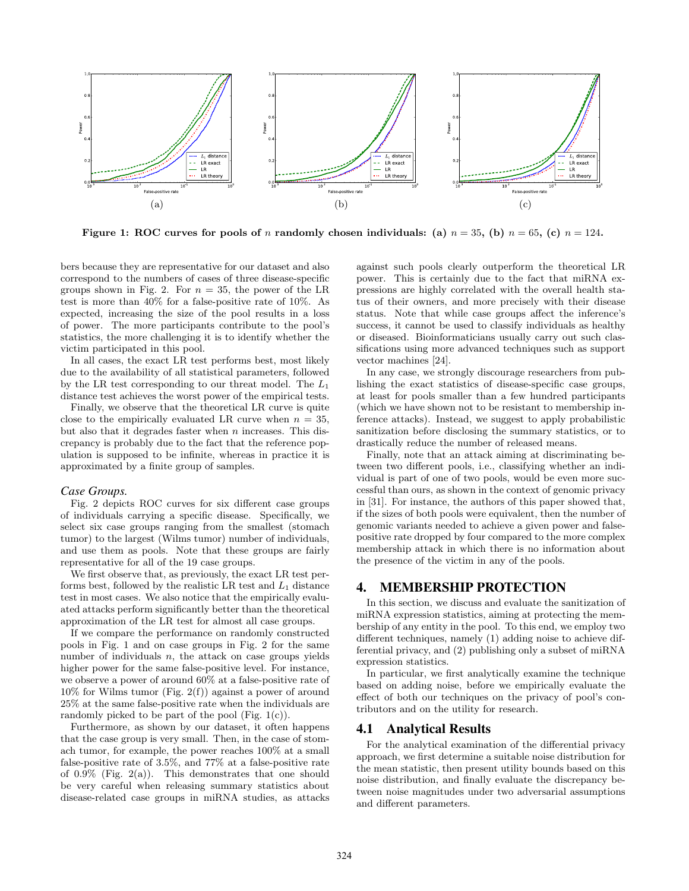

Figure 1: ROC curves for pools of n randomly chosen individuals: (a)  $n = 35$ , (b)  $n = 65$ , (c)  $n = 124$ .

bers because they are representative for our dataset and also correspond to the numbers of cases of three disease-specific groups shown in Fig. 2. For  $n = 35$ , the power of the LR test is more than 40% for a false-positive rate of 10%. As expected, increasing the size of the pool results in a loss of power. The more participants contribute to the pool's statistics, the more challenging it is to identify whether the victim participated in this pool.

In all cases, the exact LR test performs best, most likely due to the availability of all statistical parameters, followed by the LR test corresponding to our threat model. The  $L_1$ distance test achieves the worst power of the empirical tests.

Finally, we observe that the theoretical LR curve is quite close to the empirically evaluated LR curve when  $n = 35$ , but also that it degrades faster when  $n$  increases. This discrepancy is probably due to the fact that the reference population is supposed to be infinite, whereas in practice it is approximated by a finite group of samples.

#### *Case Groups.*

Fig. 2 depicts ROC curves for six different case groups of individuals carrying a specific disease. Specifically, we select six case groups ranging from the smallest (stomach tumor) to the largest (Wilms tumor) number of individuals, and use them as pools. Note that these groups are fairly representative for all of the 19 case groups.

We first observe that, as previously, the exact LR test performs best, followed by the realistic LR test and  $L_1$  distance test in most cases. We also notice that the empirically evaluated attacks perform significantly better than the theoretical approximation of the LR test for almost all case groups.

If we compare the performance on randomly constructed pools in Fig. 1 and on case groups in Fig. 2 for the same number of individuals  $n$ , the attack on case groups yields higher power for the same false-positive level. For instance, we observe a power of around 60% at a false-positive rate of  $10\%$  for Wilms tumor (Fig. 2(f)) against a power of around 25% at the same false-positive rate when the individuals are randomly picked to be part of the pool (Fig.  $1(c)$ ).

Furthermore, as shown by our dataset, it often happens that the case group is very small. Then, in the case of stomach tumor, for example, the power reaches 100% at a small false-positive rate of 3.5%, and 77% at a false-positive rate of  $0.9\%$  (Fig. 2(a)). This demonstrates that one should be very careful when releasing summary statistics about disease-related case groups in miRNA studies, as attacks

against such pools clearly outperform the theoretical LR power. This is certainly due to the fact that miRNA expressions are highly correlated with the overall health status of their owners, and more precisely with their disease status. Note that while case groups affect the inference's success, it cannot be used to classify individuals as healthy or diseased. Bioinformaticians usually carry out such classifications using more advanced techniques such as support vector machines [24].

In any case, we strongly discourage researchers from publishing the exact statistics of disease-specific case groups, at least for pools smaller than a few hundred participants (which we have shown not to be resistant to membership inference attacks). Instead, we suggest to apply probabilistic sanitization before disclosing the summary statistics, or to drastically reduce the number of released means.

Finally, note that an attack aiming at discriminating between two different pools, i.e., classifying whether an individual is part of one of two pools, would be even more successful than ours, as shown in the context of genomic privacy in [31]. For instance, the authors of this paper showed that, if the sizes of both pools were equivalent, then the number of genomic variants needed to achieve a given power and falsepositive rate dropped by four compared to the more complex membership attack in which there is no information about the presence of the victim in any of the pools.

# 4. MEMBERSHIP PROTECTION

In this section, we discuss and evaluate the sanitization of miRNA expression statistics, aiming at protecting the membership of any entity in the pool. To this end, we employ two different techniques, namely (1) adding noise to achieve differential privacy, and (2) publishing only a subset of miRNA expression statistics.

In particular, we first analytically examine the technique based on adding noise, before we empirically evaluate the effect of both our techniques on the privacy of pool's contributors and on the utility for research.

# 4.1 Analytical Results

For the analytical examination of the differential privacy approach, we first determine a suitable noise distribution for the mean statistic, then present utility bounds based on this noise distribution, and finally evaluate the discrepancy between noise magnitudes under two adversarial assumptions and different parameters.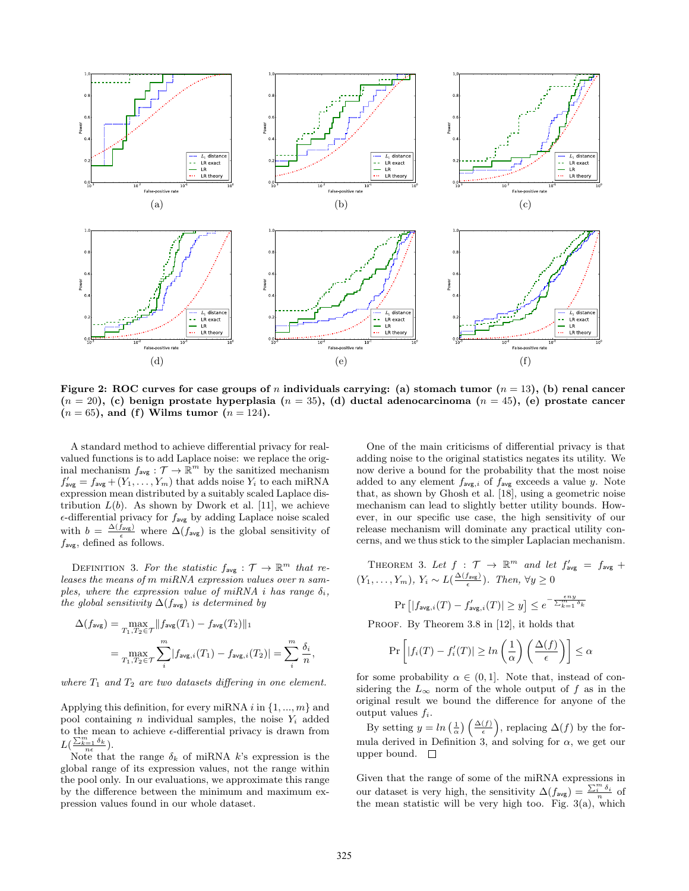

Figure 2: ROC curves for case groups of n individuals carrying: (a) stomach tumor  $(n = 13)$ , (b) renal cancer  $(n = 20)$ , (c) benign prostate hyperplasia  $(n = 35)$ , (d) ductal adenocarcinoma  $(n = 45)$ , (e) prostate cancer  $(n = 65)$ , and (f) Wilms tumor  $(n = 124)$ .

A standard method to achieve differential privacy for realvalued functions is to add Laplace noise: we replace the original mechanism  $f_{\text{avg}}: \mathcal{T} \to \mathbb{R}^m$  by the sanitized mechanism  $f'_{\text{avg}} = f_{\text{avg}} + (Y_1, \ldots, Y_m)$  that adds noise  $Y_i$  to each miRNA expression mean distributed by a suitably scaled Laplace distribution  $L(b)$ . As shown by Dwork et al. [11], we achieve  $\epsilon$ -differential privacy for  $f_{\text{avg}}$  by adding Laplace noise scaled with  $b = \frac{\Delta(f_{\text{avg}})}{\epsilon}$  where  $\Delta(f_{\text{avg}})$  is the global sensitivity of  $f_{\text{avg}}$ , defined as follows.

DEFINITION 3. For the statistic  $f_{\text{avg}} : \mathcal{T} \to \mathbb{R}^m$  that releases the means of m miRNA expression values over n samples, where the expression value of miRNA i has range  $\delta_i$ , the global sensitivity  $\Delta(f_{\text{avg}})$  is determined by

$$
\Delta(f_{\text{avg}}) = \max_{T_1, T_2 \in \mathcal{T}} \|f_{\text{avg}}(T_1) - f_{\text{avg}}(T_2)\|_1
$$

$$
= \max_{T_1, T_2 \in \mathcal{T}} \sum_{i}^{m} |f_{\text{avg}, i}(T_1) - f_{\text{avg}, i}(T_2)| = \sum_{i}^{m} \frac{\delta_i}{n},
$$

where  $T_1$  and  $T_2$  are two datasets differing in one element.

Applying this definition, for every miRNA  $i$  in  $\{1, ..., m\}$  and pool containing *n* individual samples, the noise  $Y_i$  added to the mean to achieve  $\epsilon$ -differential privacy is drawn from  $L\left(\frac{\sum_{k=1}^m \delta_k}{n\epsilon}\right)$ .

Note that the range  $\delta_k$  of miRNA k's expression is the global range of its expression values, not the range within the pool only. In our evaluations, we approximate this range by the difference between the minimum and maximum expression values found in our whole dataset.

One of the main criticisms of differential privacy is that adding noise to the original statistics negates its utility. We now derive a bound for the probability that the most noise added to any element  $f_{\text{avg},i}$  of  $f_{\text{avg}}$  exceeds a value y. Note that, as shown by Ghosh et al. [18], using a geometric noise mechanism can lead to slightly better utility bounds. However, in our specific use case, the high sensitivity of our release mechanism will dominate any practical utility concerns, and we thus stick to the simpler Laplacian mechanism.

THEOREM 3. Let  $f : \mathcal{T} \to \mathbb{R}^m$  and let  $f'_{\text{avg}} = f_{\text{avg}} +$  $(Y_1, \ldots, Y_m), Y_i \sim L(\frac{\Delta(f_{avg})}{\epsilon}).$  Then,  $\forall y \geq 0$ 

$$
\Pr\left[ |f_{\text{avg},i}(T) - f'_{\text{avg},i}(T)| \ge y \right] \le e^{-\frac{\epsilon ny}{\sum_{k=1}^{m} \delta_k}}
$$

PROOF. By Theorem 3.8 in [12], it holds that

$$
\Pr\left[|f_i(T) - f'_i(T)| \ge \ln\left(\frac{1}{\alpha}\right) \left(\frac{\Delta(f)}{\epsilon}\right) \right] \le \alpha
$$

for some probability  $\alpha \in (0,1]$ . Note that, instead of considering the  $L_{\infty}$  norm of the whole output of f as in the original result we bound the difference for anyone of the output values  $f_i$ .

By setting  $y = \ln\left(\frac{1}{\alpha}\right)\left(\frac{\Delta(f)}{\epsilon}\right)$ , replacing  $\Delta(f)$  by the formula derived in Definition 3, and solving for  $\alpha$ , we get our upper bound.  $\square$ 

Given that the range of some of the miRNA expressions in our dataset is very high, the sensitivity  $\Delta(f_{\text{avg}}) = \frac{\sum_i^m \delta_i}{n}$  of the mean statistic will be very high too. Fig.  $3(a)$ , which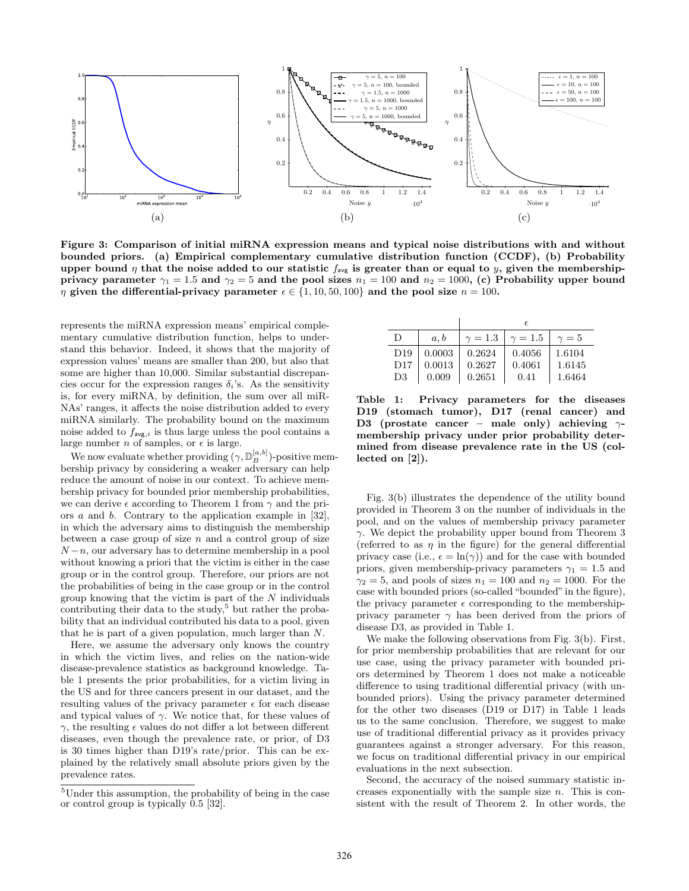

Figure 3: Comparison of initial miRNA expression means and typical noise distributions with and without bounded priors. (a) Empirical complementary cumulative distribution function (CCDF), (b) Probability upper bound  $\eta$  that the noise added to our statistic  $f_{avg}$  is greater than or equal to y, given the membershipprivacy parameter  $\gamma_1 = 1.5$  and  $\gamma_2 = 5$  and the pool sizes  $n_1 = 100$  and  $n_2 = 1000$ , (c) Probability upper bound  $\eta$  given the differential-privacy parameter  $\epsilon \in \{1, 10, 50, 100\}$  and the pool size  $n = 100$ .

represents the miRNA expression means' empirical complementary cumulative distribution function, helps to understand this behavior. Indeed, it shows that the majority of expression values' means are smaller than 200, but also that some are higher than 10,000. Similar substantial discrepancies occur for the expression ranges  $\delta_i$ 's. As the sensitivity is, for every miRNA, by definition, the sum over all miR-NAs' ranges, it affects the noise distribution added to every miRNA similarly. The probability bound on the maximum noise added to  $f_{\mathsf{avg},i}$  is thus large unless the pool contains a large number n of samples, or  $\epsilon$  is large.

We now evaluate whether providing  $(\gamma, \mathbb{D}_B^{[a,b]})$ -positive membership privacy by considering a weaker adversary can help reduce the amount of noise in our context. To achieve membership privacy for bounded prior membership probabilities, we can derive  $\epsilon$  according to Theorem 1 from  $\gamma$  and the priors a and b. Contrary to the application example in [32], in which the adversary aims to distinguish the membership between a case group of size  $n$  and a control group of size  $N-n$ , our adversary has to determine membership in a pool without knowing a priori that the victim is either in the case group or in the control group. Therefore, our priors are not the probabilities of being in the case group or in the control group knowing that the victim is part of the  $N$  individuals contributing their data to the study,<sup>5</sup> but rather the probability that an individual contributed his data to a pool, given that he is part of a given population, much larger than N.

Here, we assume the adversary only knows the country in which the victim lives, and relies on the nation-wide disease-prevalence statistics as background knowledge. Table 1 presents the prior probabilities, for a victim living in the US and for three cancers present in our dataset, and the resulting values of the privacy parameter  $\epsilon$  for each disease and typical values of  $\gamma$ . We notice that, for these values of  $γ$ , the resulting  $ε$  values do not differ a lot between different diseases, even though the prevalence rate, or prior, of D3 is 30 times higher than D19's rate/prior. This can be explained by the relatively small absolute priors given by the prevalence rates.

|                 |        | $\epsilon$   |              |            |
|-----------------|--------|--------------|--------------|------------|
| Ð               | a.b    | $\gamma=1.3$ | $\gamma=1.5$ | $\gamma=5$ |
| D <sub>19</sub> | 0.0003 | 0.2624       | 0.4056       | 1.6104     |
| D17             | 0.0013 | 0.2627       | 0.4061       | 1.6145     |
| D3              | 0.009  | 0.2651       | 0.41         | 1.6464     |

Table 1: Privacy parameters for the diseases D19 (stomach tumor), D17 (renal cancer) and D3 (prostate cancer – male only) achieving  $\gamma$ membership privacy under prior probability determined from disease prevalence rate in the US (collected on [2]).

Fig. 3(b) illustrates the dependence of the utility bound provided in Theorem 3 on the number of individuals in the pool, and on the values of membership privacy parameter  $\gamma$ . We depict the probability upper bound from Theorem 3 (referred to as  $\eta$  in the figure) for the general differential privacy case (i.e.,  $\epsilon = \ln(\gamma)$ ) and for the case with bounded priors, given membership-privacy parameters  $\gamma_1 = 1.5$  and  $\gamma_2 = 5$ , and pools of sizes  $n_1 = 100$  and  $n_2 = 1000$ . For the case with bounded priors (so-called "bounded"in the figure), the privacy parameter  $\epsilon$  corresponding to the membershipprivacy parameter  $\gamma$  has been derived from the priors of disease D3, as provided in Table 1.

We make the following observations from Fig. 3(b). First, for prior membership probabilities that are relevant for our use case, using the privacy parameter with bounded priors determined by Theorem 1 does not make a noticeable difference to using traditional differential privacy (with unbounded priors). Using the privacy parameter determined for the other two diseases (D19 or D17) in Table 1 leads us to the same conclusion. Therefore, we suggest to make use of traditional differential privacy as it provides privacy guarantees against a stronger adversary. For this reason, we focus on traditional differential privacy in our empirical evaluations in the next subsection.

Second, the accuracy of the noised summary statistic increases exponentially with the sample size  $n$ . This is consistent with the result of Theorem 2. In other words, the

<sup>5</sup>Under this assumption, the probability of being in the case or control group is typically 0.5 [32].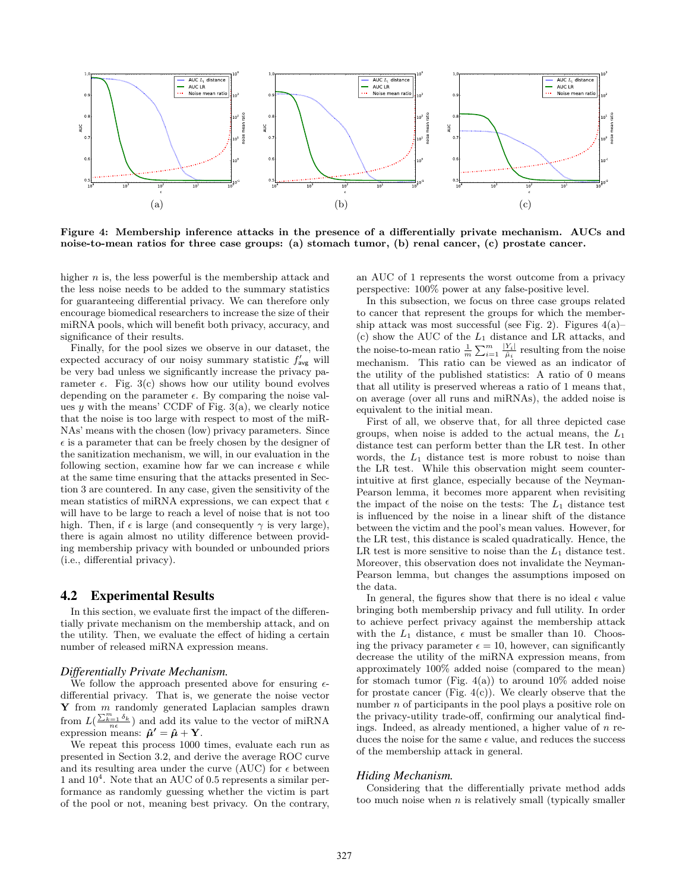

Figure 4: Membership inference attacks in the presence of a differentially private mechanism. AUCs and noise-to-mean ratios for three case groups: (a) stomach tumor, (b) renal cancer, (c) prostate cancer.

higher  $n$  is, the less powerful is the membership attack and the less noise needs to be added to the summary statistics for guaranteeing differential privacy. We can therefore only encourage biomedical researchers to increase the size of their miRNA pools, which will benefit both privacy, accuracy, and significance of their results.

Finally, for the pool sizes we observe in our dataset, the expected accuracy of our noisy summary statistic  $f'_{\text{avg}}$  will be very bad unless we significantly increase the privacy parameter  $\epsilon$ . Fig. 3(c) shows how our utility bound evolves depending on the parameter  $\epsilon$ . By comparing the noise values  $y$  with the means' CCDF of Fig. 3(a), we clearly notice that the noise is too large with respect to most of the miR-NAs' means with the chosen (low) privacy parameters. Since  $\epsilon$  is a parameter that can be freely chosen by the designer of the sanitization mechanism, we will, in our evaluation in the following section, examine how far we can increase  $\epsilon$  while at the same time ensuring that the attacks presented in Section 3 are countered. In any case, given the sensitivity of the mean statistics of miRNA expressions, we can expect that  $\epsilon$ will have to be large to reach a level of noise that is not too high. Then, if  $\epsilon$  is large (and consequently  $\gamma$  is very large), there is again almost no utility difference between providing membership privacy with bounded or unbounded priors (i.e., differential privacy).

#### 4.2 Experimental Results

In this section, we evaluate first the impact of the differentially private mechanism on the membership attack, and on the utility. Then, we evaluate the effect of hiding a certain number of released miRNA expression means.

#### *Differentially Private Mechanism.*

We follow the approach presented above for ensuring  $\epsilon$ differential privacy. That is, we generate the noise vector  $Y$  from  $m$  randomly generated Laplacian samples drawn from  $L(\frac{\sum_{k=1}^{m} \delta_k}{n\epsilon})$  and add its value to the vector of miRNA expression means:  $\hat{\mu}' = \hat{\mu} + Y$ .

We repeat this process 1000 times, evaluate each run as presented in Section 3.2, and derive the average ROC curve and its resulting area under the curve (AUC) for  $\epsilon$  between 1 and  $10^4$ . Note that an AUC of 0.5 represents a similar performance as randomly guessing whether the victim is part of the pool or not, meaning best privacy. On the contrary, an AUC of 1 represents the worst outcome from a privacy perspective: 100% power at any false-positive level.

In this subsection, we focus on three case groups related to cancer that represent the groups for which the membership attack was most successful (see Fig. 2). Figures  $4(a)$ – (c) show the AUC of the  $L_1$  distance and LR attacks, and the noise-to-mean ratio  $\frac{1}{m} \sum_{i=1}^{m} \frac{|Y_i|}{\hat{\mu}_i}$  resulting from the noise mechanism. This ratio can be viewed as an indicator of the utility of the published statistics: A ratio of 0 means that all utility is preserved whereas a ratio of 1 means that, on average (over all runs and miRNAs), the added noise is equivalent to the initial mean.

First of all, we observe that, for all three depicted case groups, when noise is added to the actual means, the  $L_1$ distance test can perform better than the LR test. In other words, the  $L_1$  distance test is more robust to noise than the LR test. While this observation might seem counterintuitive at first glance, especially because of the Neyman-Pearson lemma, it becomes more apparent when revisiting the impact of the noise on the tests: The  $L_1$  distance test is influenced by the noise in a linear shift of the distance between the victim and the pool's mean values. However, for the LR test, this distance is scaled quadratically. Hence, the LR test is more sensitive to noise than the  $L_1$  distance test. Moreover, this observation does not invalidate the Neyman-Pearson lemma, but changes the assumptions imposed on the data.

In general, the figures show that there is no ideal  $\epsilon$  value bringing both membership privacy and full utility. In order to achieve perfect privacy against the membership attack with the  $L_1$  distance,  $\epsilon$  must be smaller than 10. Choosing the privacy parameter  $\epsilon = 10$ , however, can significantly decrease the utility of the miRNA expression means, from approximately 100% added noise (compared to the mean) for stomach tumor (Fig.  $4(a)$ ) to around 10% added noise for prostate cancer (Fig.  $4(c)$ ). We clearly observe that the number  $n$  of participants in the pool plays a positive role on the privacy-utility trade-off, confirming our analytical findings. Indeed, as already mentioned, a higher value of  $n$  reduces the noise for the same  $\epsilon$  value, and reduces the success of the membership attack in general.

#### *Hiding Mechanism.*

Considering that the differentially private method adds too much noise when  $n$  is relatively small (typically smaller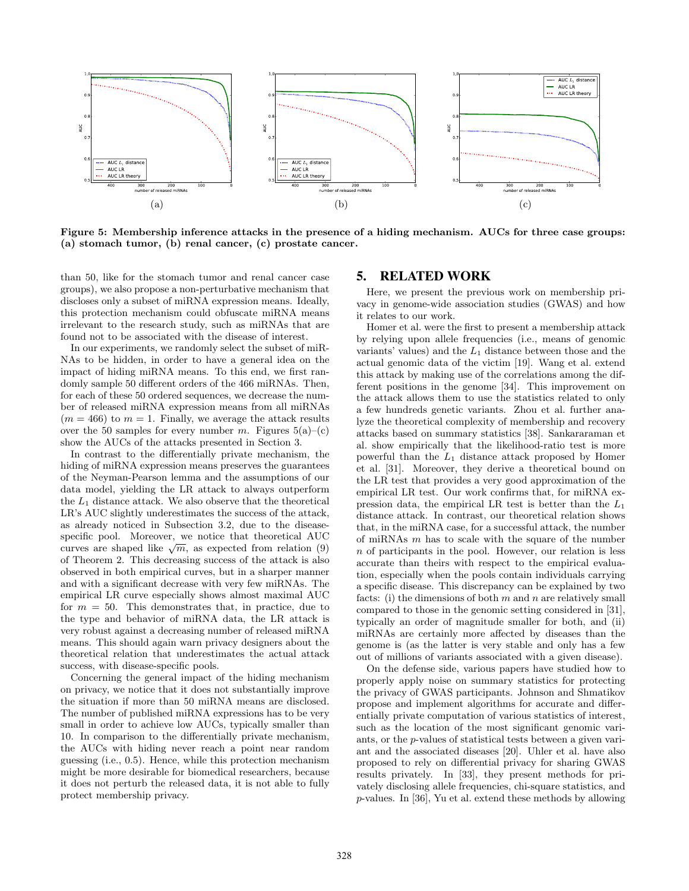

Figure 5: Membership inference attacks in the presence of a hiding mechanism. AUCs for three case groups: (a) stomach tumor, (b) renal cancer, (c) prostate cancer.

than 50, like for the stomach tumor and renal cancer case groups), we also propose a non-perturbative mechanism that discloses only a subset of miRNA expression means. Ideally, this protection mechanism could obfuscate miRNA means irrelevant to the research study, such as miRNAs that are found not to be associated with the disease of interest.

In our experiments, we randomly select the subset of miR-NAs to be hidden, in order to have a general idea on the impact of hiding miRNA means. To this end, we first randomly sample 50 different orders of the 466 miRNAs. Then, for each of these 50 ordered sequences, we decrease the number of released miRNA expression means from all miRNAs  $(m = 466)$  to  $m = 1$ . Finally, we average the attack results over the 50 samples for every number m. Figures  $5(a)$ –(c) show the AUCs of the attacks presented in Section 3.

In contrast to the differentially private mechanism, the hiding of miRNA expression means preserves the guarantees of the Neyman-Pearson lemma and the assumptions of our data model, yielding the LR attack to always outperform the  $L_1$  distance attack. We also observe that the theoretical LR's AUC slightly underestimates the success of the attack, as already noticed in Subsection 3.2, due to the diseasespecific pool. Moreover, we notice that theoretical AUC specific pool. Moreover, we notice that theoretical AUC<br>curves are shaped like  $\sqrt{m}$ , as expected from relation (9) of Theorem 2. This decreasing success of the attack is also observed in both empirical curves, but in a sharper manner and with a significant decrease with very few miRNAs. The empirical LR curve especially shows almost maximal AUC for  $m = 50$ . This demonstrates that, in practice, due to the type and behavior of miRNA data, the LR attack is very robust against a decreasing number of released miRNA means. This should again warn privacy designers about the theoretical relation that underestimates the actual attack success, with disease-specific pools.

Concerning the general impact of the hiding mechanism on privacy, we notice that it does not substantially improve the situation if more than 50 miRNA means are disclosed. The number of published miRNA expressions has to be very small in order to achieve low AUCs, typically smaller than 10. In comparison to the differentially private mechanism, the AUCs with hiding never reach a point near random guessing (i.e., 0.5). Hence, while this protection mechanism might be more desirable for biomedical researchers, because it does not perturb the released data, it is not able to fully protect membership privacy.

# 5. RELATED WORK

Here, we present the previous work on membership privacy in genome-wide association studies (GWAS) and how it relates to our work.

Homer et al. were the first to present a membership attack by relying upon allele frequencies (i.e., means of genomic variants' values) and the  $L_1$  distance between those and the actual genomic data of the victim [19]. Wang et al. extend this attack by making use of the correlations among the different positions in the genome [34]. This improvement on the attack allows them to use the statistics related to only a few hundreds genetic variants. Zhou et al. further analyze the theoretical complexity of membership and recovery attacks based on summary statistics [38]. Sankararaman et al. show empirically that the likelihood-ratio test is more powerful than the  $L_1$  distance attack proposed by Homer et al. [31]. Moreover, they derive a theoretical bound on the LR test that provides a very good approximation of the empirical LR test. Our work confirms that, for miRNA expression data, the empirical LR test is better than the  $L_1$ distance attack. In contrast, our theoretical relation shows that, in the miRNA case, for a successful attack, the number of miRNAs  $m$  has to scale with the square of the number  $n$  of participants in the pool. However, our relation is less accurate than theirs with respect to the empirical evaluation, especially when the pools contain individuals carrying a specific disease. This discrepancy can be explained by two facts: (i) the dimensions of both  $m$  and  $n$  are relatively small compared to those in the genomic setting considered in [31], typically an order of magnitude smaller for both, and (ii) miRNAs are certainly more affected by diseases than the genome is (as the latter is very stable and only has a few out of millions of variants associated with a given disease).

On the defense side, various papers have studied how to properly apply noise on summary statistics for protecting the privacy of GWAS participants. Johnson and Shmatikov propose and implement algorithms for accurate and differentially private computation of various statistics of interest, such as the location of the most significant genomic variants, or the p-values of statistical tests between a given variant and the associated diseases [20]. Uhler et al. have also proposed to rely on differential privacy for sharing GWAS results privately. In [33], they present methods for privately disclosing allele frequencies, chi-square statistics, and p-values. In [36], Yu et al. extend these methods by allowing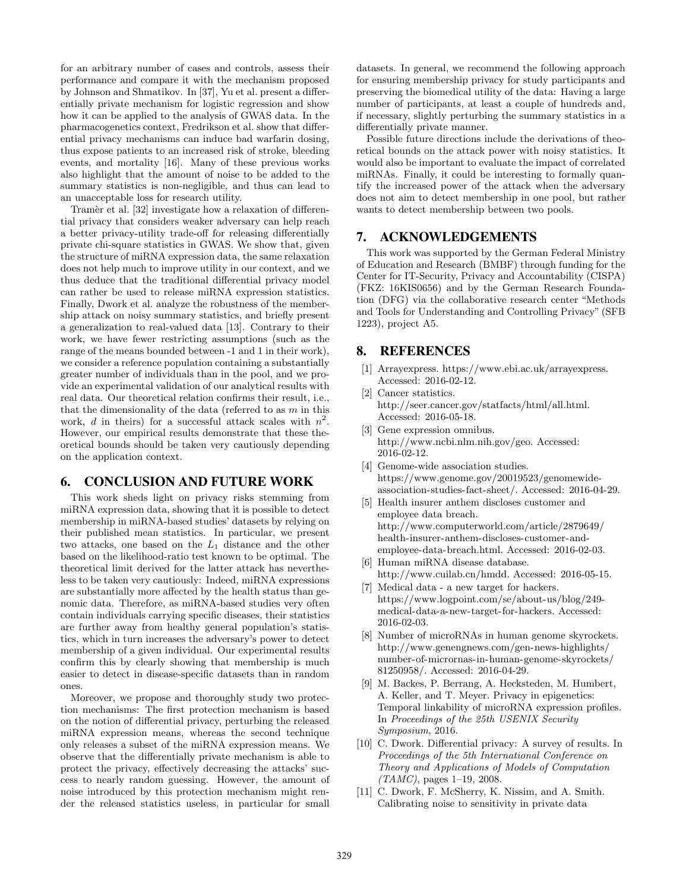for an arbitrary number of cases and controls, assess their performance and compare it with the mechanism proposed by Johnson and Shmatikov. In [37], Yu et al. present a differentially private mechanism for logistic regression and show how it can be applied to the analysis of GWAS data. In the pharmacogenetics context, Fredrikson et al. show that differential privacy mechanisms can induce bad warfarin dosing, thus expose patients to an increased risk of stroke, bleeding events, and mortality [16]. Many of these previous works also highlight that the amount of noise to be added to the summary statistics is non-negligible, and thus can lead to an unacceptable loss for research utility.

Tramèr et al. [32] investigate how a relaxation of differential privacy that considers weaker adversary can help reach a better privacy-utility trade-off for releasing differentially private chi-square statistics in GWAS. We show that, given the structure of miRNA expression data, the same relaxation does not help much to improve utility in our context, and we thus deduce that the traditional differential privacy model can rather be used to release miRNA expression statistics. Finally, Dwork et al. analyze the robustness of the membership attack on noisy summary statistics, and briefly present a generalization to real-valued data [13]. Contrary to their work, we have fewer restricting assumptions (such as the range of the means bounded between -1 and 1 in their work), we consider a reference population containing a substantially greater number of individuals than in the pool, and we provide an experimental validation of our analytical results with real data. Our theoretical relation confirms their result, i.e., that the dimensionality of the data (referred to as  $m$  in this work, d in theirs) for a successful attack scales with  $n^2$ . However, our empirical results demonstrate that these theoretical bounds should be taken very cautiously depending on the application context.

# 6. CONCLUSION AND FUTURE WORK

This work sheds light on privacy risks stemming from miRNA expression data, showing that it is possible to detect membership in miRNA-based studies' datasets by relying on their published mean statistics. In particular, we present two attacks, one based on the  $L_1$  distance and the other based on the likelihood-ratio test known to be optimal. The theoretical limit derived for the latter attack has nevertheless to be taken very cautiously: Indeed, miRNA expressions are substantially more affected by the health status than genomic data. Therefore, as miRNA-based studies very often contain individuals carrying specific diseases, their statistics are further away from healthy general population's statistics, which in turn increases the adversary's power to detect membership of a given individual. Our experimental results confirm this by clearly showing that membership is much easier to detect in disease-specific datasets than in random ones.

Moreover, we propose and thoroughly study two protection mechanisms: The first protection mechanism is based on the notion of differential privacy, perturbing the released miRNA expression means, whereas the second technique only releases a subset of the miRNA expression means. We observe that the differentially private mechanism is able to protect the privacy, effectively decreasing the attacks' success to nearly random guessing. However, the amount of noise introduced by this protection mechanism might render the released statistics useless, in particular for small

datasets. In general, we recommend the following approach for ensuring membership privacy for study participants and preserving the biomedical utility of the data: Having a large number of participants, at least a couple of hundreds and, if necessary, slightly perturbing the summary statistics in a differentially private manner.

Possible future directions include the derivations of theoretical bounds on the attack power with noisy statistics. It would also be important to evaluate the impact of correlated miRNAs. Finally, it could be interesting to formally quantify the increased power of the attack when the adversary does not aim to detect membership in one pool, but rather wants to detect membership between two pools.

### 7. ACKNOWLEDGEMENTS

This work was supported by the German Federal Ministry of Education and Research (BMBF) through funding for the Center for IT-Security, Privacy and Accountability (CISPA) (FKZ: 16KIS0656) and by the German Research Foundation (DFG) via the collaborative research center "Methods and Tools for Understanding and Controlling Privacy" (SFB 1223), project A5.

# 8. REFERENCES

- [1] Arrayexpress. https://www.ebi.ac.uk/arrayexpress. Accessed: 2016-02-12.
- [2] Cancer statistics. http://seer.cancer.gov/statfacts/html/all.html. Accessed: 2016-05-18.
- [3] Gene expression omnibus. http://www.ncbi.nlm.nih.gov/geo. Accessed: 2016-02-12.
- [4] Genome-wide association studies. https://www.genome.gov/20019523/genomewideassociation-studies-fact-sheet/. Accessed: 2016-04-29.
- [5] Health insurer anthem discloses customer and employee data breach. http://www.computerworld.com/article/2879649/ health-insurer-anthem-discloses-customer-andemployee-data-breach.html. Accessed: 2016-02-03.
- [6] Human miRNA disease database. http://www.cuilab.cn/hmdd. Accessed: 2016-05-15.
- [7] Medical data a new target for hackers. https://www.logpoint.com/se/about-us/blog/249 medical-data-a-new-target-for-hackers. Accessed: 2016-02-03.
- [8] Number of microRNAs in human genome skyrockets. http://www.genengnews.com/gen-news-highlights/ number-of-micrornas-in-human-genome-skyrockets/ 81250958/. Accessed: 2016-04-29.
- [9] M. Backes, P. Berrang, A. Hecksteden, M. Humbert, A. Keller, and T. Meyer. Privacy in epigenetics: Temporal linkability of microRNA expression profiles. In Proceedings of the 25th USENIX Security Symposium, 2016.
- [10] C. Dwork. Differential privacy: A survey of results. In Proceedings of the 5th International Conference on Theory and Applications of Models of Computation  $(TAMC)$ , pages 1-19, 2008.
- [11] C. Dwork, F. McSherry, K. Nissim, and A. Smith. Calibrating noise to sensitivity in private data